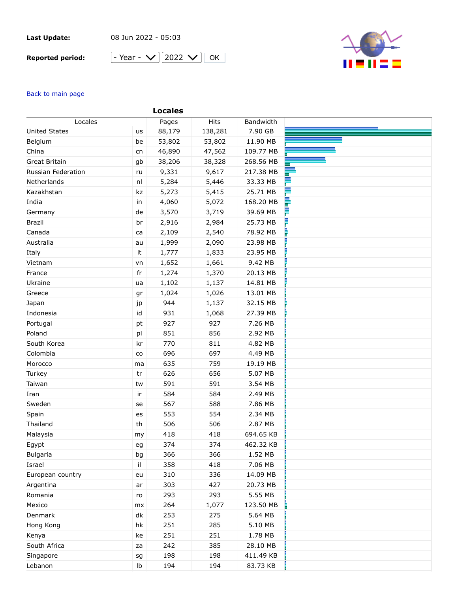## **Last Update:**

08 Jun 2022 - 05:03

## **Reported period:**





## Back to main page

|                      |               | <b>Locales</b> |         |           |   |
|----------------------|---------------|----------------|---------|-----------|---|
| Locales              |               | Pages          | Hits    | Bandwidth |   |
| <b>United States</b> | us            | 88,179         | 138,281 | 7.90 GB   |   |
| Belgium              | be            | 53,802         | 53,802  | 11.90 MB  |   |
| China                | cn            | 46,890         | 47,562  | 109.77 MB |   |
| <b>Great Britain</b> | gb            | 38,206         | 38,328  | 268.56 MB |   |
| Russian Federation   | ru            | 9,331          | 9,617   | 217.38 MB |   |
| Netherlands          | nl            | 5,284          | 5,446   | 33.33 MB  |   |
| Kazakhstan           | kz            | 5,273          | 5,415   | 25.71 MB  | ⋿ |
| India                | in            | 4,060          | 5,072   | 168.20 MB | ₹ |
| Germany              | de            | 3,570          | 3,719   | 39.69 MB  | F |
| <b>Brazil</b>        | br            | 2,916          | 2,984   | 25.73 MB  | F |
| Canada               | ca            | 2,109          | 2,540   | 78.92 MB  | l |
| Australia            | au            | 1,999          | 2,090   | 23.98 MB  |   |
| Italy                | it            | 1,777          | 1,833   | 23.95 MB  |   |
| Vietnam              | vn            | 1,652          | 1,661   | 9.42 MB   |   |
| France               | fr            | 1,274          | 1,370   | 20.13 MB  |   |
| Ukraine              | ua            | 1,102          | 1,137   | 14.81 MB  |   |
| Greece               | gr            | 1,024          | 1,026   | 13.01 MB  |   |
| Japan                | jp            | 944            | 1,137   | 32.15 MB  |   |
| Indonesia            | id            | 931            | 1,068   | 27.39 MB  |   |
| Portugal             | pt            | 927            | 927     | 7.26 MB   |   |
| Poland               | pl            | 851            | 856     | 2.92 MB   |   |
| South Korea          | kr            | 770            | 811     | 4.82 MB   |   |
| Colombia             | $\mathsf{co}$ | 696            | 697     | 4.49 MB   |   |
| Morocco              | ma            | 635            | 759     | 19.19 MB  |   |
| Turkey               | tr            | 626            | 656     | 5.07 MB   |   |
| Taiwan               | tw            | 591            | 591     | 3.54 MB   |   |
| Iran                 | ir            | 584            | 584     | 2.49 MB   |   |
| Sweden               | se            | 567            | 588     | 7.86 MB   |   |
| Spain                | es            | 553            | 554     | 2.34 MB   |   |
| Thailand             | th            | 506            | 506     | 2.87 MB   |   |
| Malaysia             | my            | 418            | 418     | 694.65 KB |   |
| Egypt                | eg            | 374            | 374     | 462.32 KB |   |
| <b>Bulgaria</b>      | bg            | 366            | 366     | 1.52 MB   |   |
| Israel               | il            | 358            | 418     | 7.06 MB   |   |
| European country     | eu            | 310            | 336     | 14.09 MB  |   |
| Argentina            | ar            | 303            | 427     | 20.73 MB  |   |
| Romania              | ro            | 293            | 293     | 5.55 MB   |   |
| Mexico               | mx            | 264            | 1,077   | 123.50 MB |   |
| Denmark              | dk            | 253            | 275     | 5.64 MB   |   |
| Hong Kong            | hk            | 251            | 285     | 5.10 MB   |   |
| Kenya                | ke            | 251            | 251     | 1.78 MB   |   |
| South Africa         | za            | 242            | 385     | 28.10 MB  |   |
| Singapore            | sg            | 198            | 198     | 411.49 KB |   |
| Lebanon              | Ib            | 194            | 194     | 83.73 KB  |   |
|                      |               |                |         |           |   |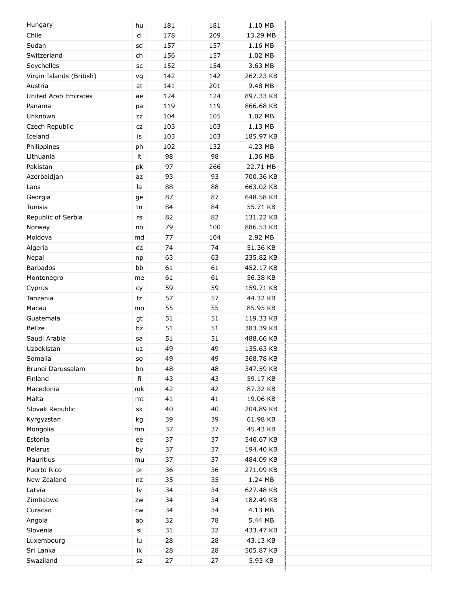| Hungary                     | hu        | 181 | 181 | 1.10 MB   |  |
|-----------------------------|-----------|-----|-----|-----------|--|
| Chile                       | cl        | 178 | 209 | 13.29 MB  |  |
| Sudan                       | sd        | 157 | 157 | 1.16 MB   |  |
| Switzerland                 | ch        | 156 | 157 | 1.02 MB   |  |
| Seychelles                  | SC        | 152 | 154 | 3.63 MB   |  |
| Virgin Islands (British)    | vg        | 142 | 142 | 262.23 KB |  |
| Austria                     | at        | 141 | 201 | 9.48 MB   |  |
| <b>United Arab Emirates</b> | ae        | 124 | 124 | 897.33 KB |  |
| Panama                      | pa        | 119 | 119 | 866.68 KB |  |
| Unknown                     | ZZ        | 104 | 105 | 1.02 MB   |  |
| Czech Republic              | CZ        | 103 | 103 | 1.13 MB   |  |
| Iceland                     | is        | 103 | 103 | 185.97 KB |  |
| Philippines                 | ph        | 102 | 132 | 4.23 MB   |  |
| Lithuania                   | It        | 98  | 98  | 1.36 MB   |  |
| Pakistan                    | pk        | 97  | 266 | 22.71 MB  |  |
| Azerbaidjan                 | az        | 93  | 93  | 700.36 KB |  |
| Laos                        | la        | 88  | 88  | 663.02 KB |  |
| Georgia                     | ge        | 87  | 87  | 648.58 KB |  |
| Tunisia                     | tn        | 84  | 84  | 55.71 KB  |  |
| Republic of Serbia          | rs        | 82  | 82  | 131.22 KB |  |
| Norway                      | no        | 79  | 100 | 886.53 KB |  |
| Moldova                     | md        | 77  | 104 | 2.92 MB   |  |
| Algeria                     | dz        | 74  | 74  | 51.36 KB  |  |
| Nepal                       | np        | 63  | 63  | 235.82 KB |  |
| <b>Barbados</b>             | bb        | 61  | 61  | 452.17 KB |  |
| Montenegro                  | me        | 61  | 61  | 56.38 KB  |  |
| Cyprus                      | cy        | 59  | 59  | 159.71 KB |  |
| Tanzania                    | tz        | 57  | 57  | 44.32 KB  |  |
| Macau                       | mo        | 55  | 55  | 85.95 KB  |  |
| Guatemala                   | gt        | 51  | 51  | 119.33 KB |  |
| <b>Belize</b>               | bz        | 51  | 51  | 383.39 KB |  |
| Saudi Arabia                | sa        | 51  | 51  | 488.66 KB |  |
| Uzbekistan                  | uz        | 49  | 49  | 135.63 KB |  |
| Somalia                     | SO.       | 49  | 49  | 368.78 KB |  |
| Brunei Darussalam           | bn        | 48  | 48  | 347.59 KB |  |
| Finland                     | fi        | 43  | 43  | 59.17 KB  |  |
| Macedonia                   | mk        | 42  | 42  | 87.32 KB  |  |
| Malta                       | mt        | 41  | 41  | 19.06 KB  |  |
| Slovak Republic             | sk        | 40  | 40  | 204.89 KB |  |
| Kyrgyzstan                  | kg        | 39  | 39  | 61.98 KB  |  |
| Mongolia                    | mn        | 37  | 37  | 45.43 KB  |  |
| Estonia                     | ee        | 37  | 37  | 546.67 KB |  |
| <b>Belarus</b>              | by        | 37  | 37  | 194.40 KB |  |
| Mauritius                   | mu        | 37  | 37  | 484.09 KB |  |
| Puerto Rico                 | pr        | 36  | 36  | 271.09 KB |  |
| New Zealand                 | nz        | 35  | 35  | 1.24 MB   |  |
| Latvia                      | l٧        | 34  | 34  | 627.48 KB |  |
| Zimbabwe                    | ZW        | 34  | 34  | 182.49 KB |  |
| Curacao                     |           | 34  | 34  | 4.13 MB   |  |
|                             | CW        | 32  | 78  | 5.44 MB   |  |
| Angola                      | ao        | 31  | 32  |           |  |
| Slovenia                    | si        |     |     | 433.47 KB |  |
| Luxembourg                  | lu        | 28  | 28  | 43.13 KB  |  |
| Sri Lanka                   | Ik        | 28  | 28  | 505.87 KB |  |
| Swaziland                   | <b>SZ</b> | 27  | 27  | 5.93 KB   |  |